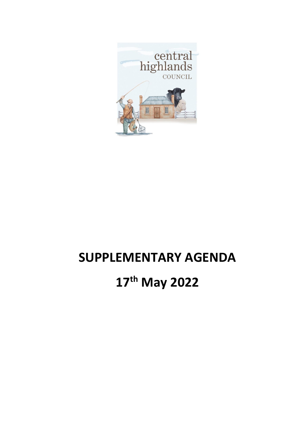

## **SUPPLEMENTARY AGENDA**

## **17 th May 2022**